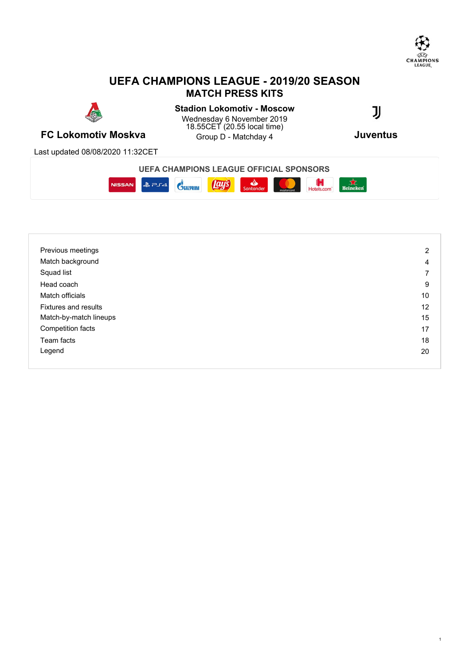

# **UEFA CHAMPIONS LEAGUE - 2019/20 SEASON MATCH PRESS KITS**



**FC Lokomotiv Moskva Group D** - Matchday 4 **CONSUMIC JUVENTUS** Stadion Lokomotiv - Moscow **JJ** Wednesday 6 November 2019 18.55CET (20.55 local time) Group D - Matchday 4

Last updated 08/08/2020 11:32CET

**UEFA CHAMPIONS LEAGUE OFFICIAL SPONSORS**



| Previous meetings      | $\overline{2}$ |
|------------------------|----------------|
| Match background       | 4              |
| Squad list             | 7              |
| Head coach             | 9              |
| Match officials        | 10             |
| Fixtures and results   | 12             |
| Match-by-match lineups | 15             |
| Competition facts      | 17             |
| Team facts             | 18             |
| Legend                 | 20             |
|                        |                |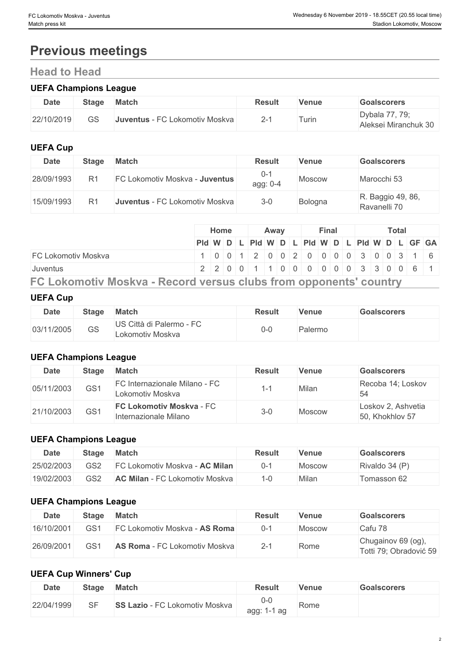# **Previous meetings**

# **Head to Head**

### **UEFA Champions League**

| <b>Date</b> | <b>Stage</b> | <b>Match</b>                   | Result           | Venue | <b>Goalscorers</b>                     |
|-------------|--------------|--------------------------------|------------------|-------|----------------------------------------|
| 22/10/2019  | GS           | Juventus - FC Lokomotiv Moskva | ົ.<br>$\angle$ - | urin  | Dybala 77, 79;<br>Aleksei Miranchuk 30 |

### **UEFA Cup**

| <b>Date</b> | <b>Stage</b> | <b>Match</b>                          | <b>Result</b>       | <b>Venue</b> | <b>Goalscorers</b>                |
|-------------|--------------|---------------------------------------|---------------------|--------------|-----------------------------------|
| 28/09/1993  |              | <b>FC Lokomotiv Moskva - Juventus</b> | $0 - 3$<br>agg: 0-4 | Moscow       | Marocchi 53                       |
| 15/09/1993  |              | <b>Juventus - FC Lokomotiv Moskva</b> | $3 - 0$             | Bologna      | R. Baggio 49, 86,<br>Ravanelli 70 |

|                                                                   |  | <b>Home</b>                                                               |  | Away |  | Final |  | Total |  |  |
|-------------------------------------------------------------------|--|---------------------------------------------------------------------------|--|------|--|-------|--|-------|--|--|
|                                                                   |  | PId W D L PId W D L PId W D L PId W D L GF GA                             |  |      |  |       |  |       |  |  |
| IFC Lokomotiv Moskva                                              |  | $1   0   0   1   2   0   0   2   0   0   0   0   3   0   0   3   1   6  $ |  |      |  |       |  |       |  |  |
| <b>Juventus</b>                                                   |  | 2 2 0 0 1 1 0 0 0 0 0 0 0 3 3 0 0 6 1                                     |  |      |  |       |  |       |  |  |
| FC Lokomotiv Moskva - Record versus clubs from opponents' country |  |                                                                           |  |      |  |       |  |       |  |  |

### **UEFA Cup**

| <b>Date</b> | <b>Stage</b> | <b>Match</b>                                 | Result | Venue   | <b>Goalscorers</b> |
|-------------|--------------|----------------------------------------------|--------|---------|--------------------|
| 03/11/2005  | GS           | US Città di Palermo - FC<br>Lokomotiv Moskva | U-U    | Palermo |                    |

## **UEFA Champions League**

| Date       | Stage | Match                                                    | <b>Result</b> | Venue  | <b>Goalscorers</b>                    |
|------------|-------|----------------------------------------------------------|---------------|--------|---------------------------------------|
| 05/11/2003 | GS1   | FC Internazionale Milano - FC<br>Lokomotiv Moskva        |               | Milan  | Recoba 14; Loskov<br>54               |
| 21/10/2003 | GS1   | <b>FC Lokomotiv Moskva - FC</b><br>Internazionale Milano | $3-0$         | Moscow | Loskov 2, Ashvetia<br>50, Khokhlov 57 |

### **UEFA Champions League**

| Date       | <b>Stage</b>    | <b>Match</b>                          | <b>Result</b> | Venue  | Goalscorers    |
|------------|-----------------|---------------------------------------|---------------|--------|----------------|
| 25/02/2003 | GS <sub>2</sub> | <b>FC Lokomotiv Moskva - AC Milan</b> | U-1           | Moscow | Rivaldo 34 (P) |
| 19/02/2003 | GS <sub>2</sub> | <b>AC Milan</b> - FC Lokomotiv Moskva |               | Milan  | Tomasson 62    |

### **UEFA Champions League**

| <b>Date</b> | <b>Stage</b>    | <b>Match</b>                         | <b>Result</b> | <b>Venue</b> | <b>Goalscorers</b>                           |
|-------------|-----------------|--------------------------------------|---------------|--------------|----------------------------------------------|
| 16/10/2001  | GS <sub>1</sub> | <b>FC Lokomotiv Moskva - AS Roma</b> | 0-1           | Moscow       | Cafu 78                                      |
| 26/09/2001  | GS1             | <b>AS Roma - FC Lokomotiv Moskva</b> | $2 - 1$       | Rome         | Chugainov 69 (og),<br>Totti 79; Obradović 59 |

# **UEFA Cup Winners' Cup**

| <b>Date</b> | <b>Stage</b> | <b>Match</b>                                                                                    | <b>Result</b>            | Venue | <b>Goalscorers</b> |
|-------------|--------------|-------------------------------------------------------------------------------------------------|--------------------------|-------|--------------------|
| 22/04/1999  | SF           | $\overline{\phantom{a}}$ Lazio - FC ' $\overline{\phantom{a}}$<br><b>SS</b><br>Lokomotiv Moskva | U-U<br>agg:<br>ag<br>. . | Rome  |                    |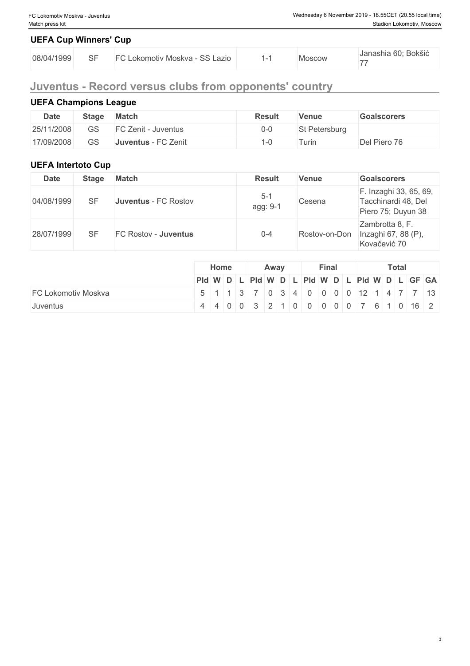# **UEFA Cup Winners' Cup**

| 08/04/1999 | $\cap$ | - SS Lazio<br>$-1$<br>∟okomotiv Moskva⊹ | <b>Aoscow</b> | Janashia 60; Bokšić |
|------------|--------|-----------------------------------------|---------------|---------------------|
|            | ◡      |                                         |               | --                  |

# **Juventus - Record versus clubs from opponents' country**

# **UEFA Champions League**

| <b>Date</b> | <b>Stage</b> | <b>Match</b>               | Result | Venue         | <b>Goalscorers</b> |
|-------------|--------------|----------------------------|--------|---------------|--------------------|
| 25/11/2008  | GS           | <b>FC Zenit - Juventus</b> | $0-0$  | St Petersburg |                    |
| 17/09/2008  | GS           | Juventus - FC Zenit        |        | Turin         | Del Piero 76       |

## **UEFA Intertoto Cup**

| <b>Date</b> | <b>Stage</b> | <b>Match</b>                | <b>Result</b>       | <b>Venue</b>  | <b>Goalscorers</b>                                                  |
|-------------|--------------|-----------------------------|---------------------|---------------|---------------------------------------------------------------------|
| 04/08/1999  | <b>SF</b>    | <b>Juventus - FC Rostov</b> | $5 - 1$<br>agg: 9-1 | Cesena        | F. Inzaghi 33, 65, 69,<br>Tacchinardi 48, Del<br>Piero 75; Duyun 38 |
| 28/07/1999  | SF           | FC Rostov - Juventus        | $0 - 4$             | Rostov-on-Don | Zambrotta 8, F.<br>Inzaghi 67, 88 (P),<br>Kovačević 70              |

|                     | Home                                                                                                   |  | Away |  | Final |  |  | <b>Total</b> |  |
|---------------------|--------------------------------------------------------------------------------------------------------|--|------|--|-------|--|--|--------------|--|
|                     | $PId \mid W \mid D \mid L \mid PId \mid W \mid D \mid L \mid PId \mid W \mid D \mid L \mid GF \mid GA$ |  |      |  |       |  |  |              |  |
| FC Lokomotiv Moskva | 5 1 1 3 7 0 3 4 0 0 0 0 12 1 4 7 7 13                                                                  |  |      |  |       |  |  |              |  |
| Juventus            | 4 4 0 0 3 2 1 0 0 0 0 0 7 6 1 0 16 2                                                                   |  |      |  |       |  |  |              |  |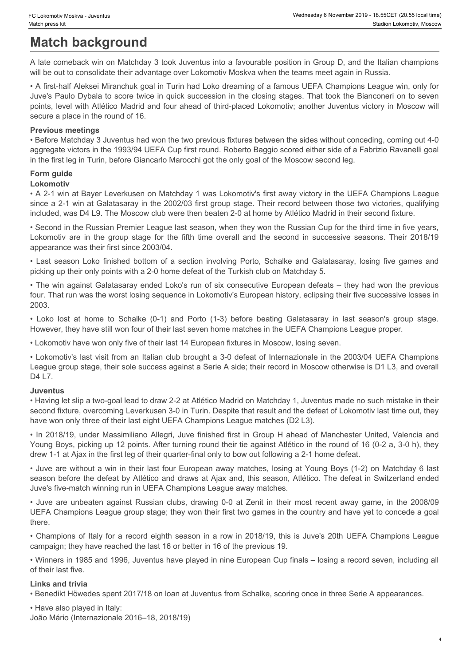# **Match background**

A late comeback win on Matchday 3 took Juventus into a favourable position in Group D, and the Italian champions will be out to consolidate their advantage over Lokomotiv Moskva when the teams meet again in Russia.

• A first-half Aleksei Miranchuk goal in Turin had Loko dreaming of a famous UEFA Champions League win, only for Juve's Paulo Dybala to score twice in quick succession in the closing stages. That took the Bianconeri on to seven points, level with Atlético Madrid and four ahead of third-placed Lokomotiv; another Juventus victory in Moscow will secure a place in the round of 16. Colomotiv Makes Jerminston are interestingent on the second in Group D, and the listing members with the group stage for the group stage for the seasons of the fifth time overall and the fifth time overall and the seasons • Classmer Moska - Jovenus<br>
• Washington Machinesis - Washington Comparison Control of the Comparison of a section in Group D, and the Italian champions<br>
A late comeback win on Matchday 3 took Juventus into a favourable po Chumno Malew- Juxetus (Chumno Malew- Lost at the Chumno Malematic Chumno Malematic Chumno Malematic Chumnom Malematic Chumnom Malematic Chumnom Malematic Chumnom Malematic Chumnom Malematic Chumnom Malematic Chumnom Malema

#### **Previous meetings**

• Before Matchday 3 Juventus had won the two previous fixtures between the sides without conceding, coming out 4-0 aggregate victors in the 1993/94 UEFA Cup first round. Roberto Baggio scored either side of a Fabrizio Ravanelli goal in the first leg in Turin, before Giancarlo Marocchi got the only goal of the Moscow second leg.

## **Form guide**

### **Lokomotiv**

• A 2-1 win at Bayer Leverkusen on Matchday 1 was Lokomotiv's first away victory in the UEFA Champions League since a 2-1 win at Galatasaray in the 2002/03 first group stage. Their record between those two victories, qualifying included, was D4 L9. The Moscow club were then beaten 2-0 at home by Atlético Madrid in their second fixture. shows in the main that is a both the state of the main of the state when the state of the state of the state of the state of the state of the state of the state of the state of the state of the state of the state of the st

• Second in the Russian Premier League last season, when they won the Russian Cup for the third time in five years, appearance was their first since 2003/04.

picking up their only points with a 2-0 home defeat of the Turkish club on Matchday 5.

• The win against Galatasaray ended Loko's run of six consecutive European defeats – they had won the previous four. That run was the worst losing sequence in Lokomotiv's European history, eclipsing their five successive losses in 2003.

However, they have still won four of their last seven home matches in the UEFA Champions League proper.

• Lokomotiv have won only five of their last 14 European fixtures in Moscow, losing seven.

• Lokomotiv's last visit from an Italian club brought a 3-0 defeat of Internazionale in the 2003/04 UEFA Champions League group stage, their sole success against a Serie A side; their record in Moscow otherwise is D1 L3, and overall D4 L7.

#### **Juventus**

• Having let slip a two-goal lead to draw 2-2 at Atlético Madrid on Matchday 1, Juventus made no such mistake in their second fixture, overcoming Leverkusen 3-0 in Turin. Despite that result and the defeat of Lokomotiv last time out, they have won only three of their last eight UEFA Champions League matches (D2 L3).

• In 2018/19, under Massimiliano Allegri, Juve finished first in Group H ahead of Manchester United, Valencia and Young Boys, picking up 12 points. After turning round their tie against Atlético in the round of 16 (0-2 a, 3-0 h), they drew 1-1 at Ajax in the first leg of their quarter-final only to bow out following a 2-1 home defeat.

• Juve are without a win in their last four European away matches, losing at Young Boys (1-2) on Matchday 6 last season before the defeat by Atlético and draws at Ajax and, this season, Atlético. The defeat in Switzerland ended Juve's five-match winning run in UEFA Champions League away matches.

UEFA Champions League group stage; they won their first two games in the country and have yet to concede a goal there. The contract of the contract of the contract of the contract of the contract of the contract of the contract of the contract of the contract of the contract of the contract of the contract of the contract of the con

• Champions of Italy for a record eighth season in a row in 2018/19, this is Juve's 20th UEFA Champions League campaign; they have reached the last 16 or better in 16 of the previous 19.

• Winners in 1985 and 1996, Juventus have played in nine European Cup finals – losing a record seven, including all of their last five.

#### **Links and trivia**

• Benedikt Höwedes spent 2017/18 on loan at Juventus from Schalke, scoring once in three Serie A appearances.

• Have also played in Italy: João Mário (Internazionale 2016–18, 2018/19)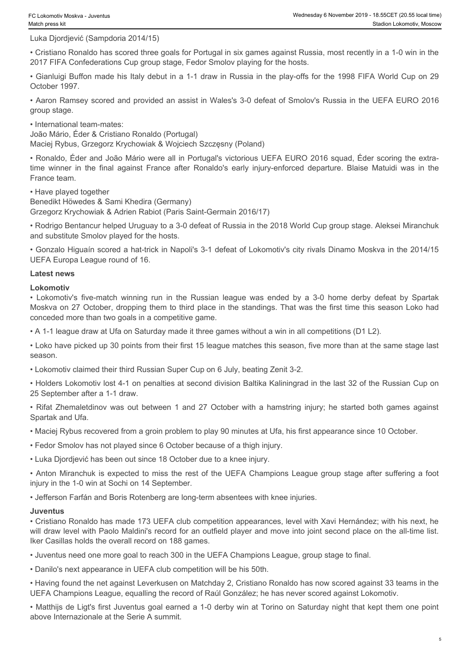Luka Djordjević (Sampdoria 2014/15)

• Cristiano Ronaldo has scored three goals for Portugal in six games against Russia, most recently in a 1-0 win in the 2017 FIFA Confederations Cup group stage, Fedor Smolov playing for the hosts.

• Gianluigi Buffon made his Italy debut in a 1-1 draw in Russia in the play-offs for the 1998 FIFA World Cup on 29 October 1997.

• Aaron Ramsey scored and provided an assist in Wales's 3-0 defeat of Smolov's Russia in the UEFA EURO 2016 group stage.

• International team-mates:

João Mário, Éder & Cristiano Ronaldo (Portugal)

Maciej Rybus, Grzegorz Krychowiak & Wojciech Szczęsny (Poland)

• Ronaldo, Éder and João Mário were all in Portugal's victorious UEFA EURO 2016 squad, Éder scoring the extra-The final against Reavist Associations and the final against France after the final and properties after a constant a constant a constant against France after Ronaldo has scored three goals for Portugal in six games agains France team. • Userant Vestera - Juvenna (Comparison)<br>• We also the match winning the passis for Partingal in six games against Russia, most recently in a 1-0 win in the Circliano Ronaldo has scored three posits for Partingal in six ga • Rhonigate Commuteria 2014-115)<br>• Richaran Provide and society there goes for Portugal in lax games against Russis, most recently in a 1-0 win in the<br>CSTP F/R Confederations coup or the goes Feron Virtugal in lax games ag

• Have played together

Benedikt Höwedes & Sami Khedira (Germany) Grzegorz Krychowiak & Adrien Rabiot (Paris Saint-Germain 2016/17)

• Rodrigo Bentancur helped Uruguay to a 3-0 defeat of Russia in the 2018 World Cup group stage. Aleksei Miranchuk and substitute Smolov played for the hosts.

• Gonzalo Higuaín scored a hat-trick in Napoli's 3-1 defeat of Lokomotiv's city rivals Dinamo Moskva in the 2014/15 UEFA Europa League round of 16.

#### **Latest news**

#### **Lokomotiv**

Moskva on 27 October, dropping them to third place in the standings. That was the first time this season Loko had conceded more than two goals in a competitive game.

• A 1-1 league draw at Ufa on Saturday made it three games without a win in all competitions (D1 L2).

• Loko have picked up 30 points from their first 15 league matches this season, five more than at the same stage last season.

• Lokomotiv claimed their third Russian Super Cup on 6 July, beating Zenit 3-2.

• Holders Lokomotiv lost 4-1 on penalties at second division Baltika Kaliningrad in the last 32 of the Russian Cup on 25 September after a 1-1 draw.

Spartak and Ufa.

• Maciej Rybus recovered from a groin problem to play 90 minutes at Ufa, his first appearance since 10 October.

• Fedor Smolov has not played since 6 October because of a thigh injury.

• Luka Djordjević has been out since 18 October due to a knee injury.

• Anton Miranchuk is expected to miss the rest of the UEFA Champions League group stage after suffering a foot injury in the 1-0 win at Sochi on 14 September.

• Jefferson Farfán and Boris Rotenberg are long-term absentees with knee injuries.

#### **Juventus**

• Cristiano Ronaldo has made 173 UEFA club competition appearances, level with Xavi Hernández; with his next, he will draw level with Paolo Maldini's record for an outfield player and move into joint second place on the all-time list. Iker Casillas holds the overall record on 188 games.

• Juventus need one more goal to reach 300 in the UEFA Champions League, group stage to final.

• Danilo's next appearance in UEFA club competition will be his 50th.

• Having found the net against Leverkusen on Matchday 2, Cristiano Ronaldo has now scored against 33 teams in the UEFA Champions League, equalling the record of Raúl González; he has never scored against Lokomotiv.

• Matthijs de Ligt's first Juventus goal earned a 1-0 derby win at Torino on Saturday night that kept them one point above Internazionale at the Serie A summit.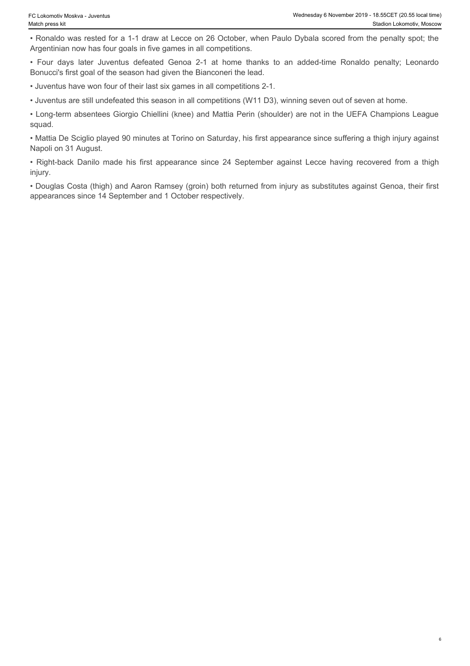• Ronaldo was rested for a 1-1 draw at Lecce on 26 October, when Paulo Dybala scored from the penalty spot; the Argentinian now has four goals in five games in all competitions.

Bonucci's first goal of the season had given the Bianconeri the lead.

• Juventus have won four of their last six games in all competitions 2-1.

• Juventus are still undefeated this season in all competitions (W11 D3), winning seven out of seven at home.

• Long-term absentees Giorgio Chiellini (knee) and Mattia Perin (shoulder) are not in the UEFA Champions League squad.

• Four days and the ventes skit we on 26 October, when Paulo Dybala scored from the penalty spot; the Stadion Lokomotiv, Moscow<br>• Ronaldo was rested for a 1-1 draw at Lecce on 26 October, when Paulo Dybala scored from the • Mattia De Sciglio played 90 minutes at Torino on Saturday, his first appearance since suffering a thigh injury against Napoli on 31 August.

• Claimativ Meake - Juventus are restricted for a 1-1 draw at Lecce on 26 October, when Paulo Dybala scored from the penalty spot; the Ronaldo was rested for a 1-1 draw at Lecce on 26 October, when Paulo Dybala scored from injury.

• Douglas Costa (thigh) and Aaron Ramsey (groin) both returned from injury as substitutes against Genoa, their first appearances since 14 September and 1 October respectively.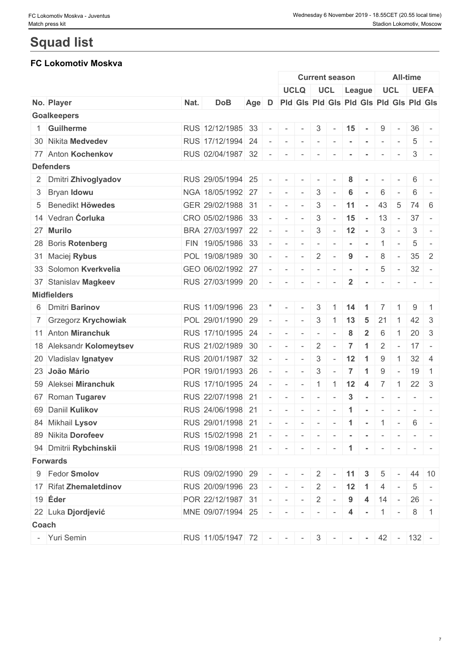# **Squad list**

# **FC Lokomotiv Moskva**

|                          |      |                                                 |       |                          |                                                                                                                           | <b>Current season</b>                                                                                         |                          |                  |                      |                | <b>All-time</b>                         |                          |                 |                                                                  |
|--------------------------|------|-------------------------------------------------|-------|--------------------------|---------------------------------------------------------------------------------------------------------------------------|---------------------------------------------------------------------------------------------------------------|--------------------------|------------------|----------------------|----------------|-----------------------------------------|--------------------------|-----------------|------------------------------------------------------------------|
|                          |      |                                                 |       |                          |                                                                                                                           | <b>UCLQ</b>                                                                                                   |                          | UCL League       |                      |                | UCL                                     |                          |                 | <b>UEFA</b>                                                      |
| No. Player               | Nat. | <b>DoB</b>                                      | Age D |                          |                                                                                                                           |                                                                                                               |                          |                  |                      |                | Pid Gis Pid Gis Pid Gis Pid Gis Pid Gis |                          |                 |                                                                  |
| <b>Goalkeepers</b>       |      |                                                 |       |                          |                                                                                                                           |                                                                                                               |                          |                  |                      |                |                                         |                          |                 |                                                                  |
| 1 Guilherme              |      | RUS 12/12/1985 33                               |       | $\overline{\phantom{a}}$ | $\sim$                                                                                                                    | $\sim$                                                                                                        | 3                        | $\sim$           | 15                   | $\sim$         | 9                                       | $\overline{\phantom{a}}$ | $36 -$          |                                                                  |
| 30 Nikita Medvedev       |      | RUS 17/12/1994 24                               |       |                          |                                                                                                                           |                                                                                                               |                          | $\sim$ 100 $\pm$ | $\sim$               | $\sim$         | $\sim$                                  | $\sim$                   | 5               | $\sim$                                                           |
| 77 Anton Kochenkov       |      | RUS 02/04/1987 32                               |       | $\overline{\phantom{a}}$ | $\sim$                                                                                                                    | $\sim$                                                                                                        | $\mathbf{r}$             | $\sim$           |                      |                | $\overline{\phantom{a}}$                | $\sim$                   | 3               | $\sim$                                                           |
| <b>Defenders</b>         |      |                                                 |       |                          |                                                                                                                           |                                                                                                               |                          |                  |                      |                |                                         |                          |                 |                                                                  |
| 2 Dmitri Zhivoglyadov    |      | RUS 29/05/1994 25                               |       |                          | $\frac{1}{2} \left( \frac{1}{2} \right) \left( \frac{1}{2} \right) \left( \frac{1}{2} \right) \left( \frac{1}{2} \right)$ | $\sim$                                                                                                        |                          |                  | 8                    |                |                                         |                          | 6               | $\sim$                                                           |
| 3 Bryan Idowu            |      | NGA 18/05/1992 27                               |       |                          | $\sim$                                                                                                                    | $\sim$                                                                                                        | 3                        |                  | 6                    |                | 6                                       |                          | 6               |                                                                  |
| 5 Benedikt Höwedes       |      | GER 29/02/1988 31                               |       | $\sim$                   | $\sim$                                                                                                                    | $\sim$                                                                                                        | 3                        |                  | 11                   | $\sim$         | 43                                      | 5                        | 74 6            |                                                                  |
| 14 Vedran <b>Ćorluka</b> |      | CRO 05/02/1986 33                               |       |                          |                                                                                                                           | $\sim$                                                                                                        | 3                        | $\sim$           | 15                   | $\sim$ $-$     | 13                                      | $\sim$                   | $37 -$          |                                                                  |
| 27 Murilo                |      | BRA 27/03/1997 22                               |       | $\sim$                   | $\sim$                                                                                                                    | $\sim$                                                                                                        | $\mathbf{3}$             | $\sim$           | 12                   | $\sim$         | 3                                       | $\overline{\phantom{a}}$ | 3               | $\sim$                                                           |
| 28 Boris Rotenberg       |      | FIN 19/05/1986 33                               |       | $\overline{\phantom{a}}$ | $\sim$                                                                                                                    | $\sim$                                                                                                        | $\overline{\phantom{a}}$ |                  |                      |                |                                         | $\overline{\phantom{a}}$ | 5               | $\sim$                                                           |
| 31 Maciej Rybus          |      | POL 19/08/1989 30                               |       | $\sim$                   | $\sim$                                                                                                                    | $\sim$                                                                                                        | 2                        |                  | 9                    | $\sim$         | 8                                       | $\sim$                   | 35              | $\overline{2}$                                                   |
| 33 Solomon Kverkvelia    |      | GEO 06/02/1992 27                               |       | $\overline{\phantom{a}}$ |                                                                                                                           | $\frac{1}{2}$ , $\frac{1}{2}$ , $\frac{1}{2}$ , $\frac{1}{2}$ , $\frac{1}{2}$ , $\frac{1}{2}$ , $\frac{1}{2}$ |                          | $\sim$           | $\sim$               | $\sim$         | 5                                       | $\sim$                   | $32 -$          |                                                                  |
| 37 Stanislav Magkeev     |      | RUS 27/03/1999 20                               |       | $\overline{\phantom{a}}$ | $\sim$                                                                                                                    | $\sim$                                                                                                        | $\overline{\phantom{a}}$ |                  | $\mathbf{2}$         |                |                                         |                          |                 |                                                                  |
| <b>Midfielders</b>       |      |                                                 |       |                          |                                                                                                                           |                                                                                                               |                          |                  |                      |                |                                         |                          |                 |                                                                  |
| 6 Dmitri Barinov         |      | RUS 11/09/1996 23                               |       |                          | $\mathbf{r}$ $\mathbf{r}$ $\mathbf{r}$ $\mathbf{r}$ $\mathbf{r}$ $\mathbf{r}$                                             | $\sim$                                                                                                        | $3 \mid$                 | $\overline{1}$   | 14                   | $\overline{1}$ | $\overline{7}$                          |                          | 9               |                                                                  |
| 7 Grzegorz Krychowiak    |      | POL 29/01/1990 29                               |       |                          | $\sim$                                                                                                                    | $\sim$                                                                                                        | $\mathbf{3}$             |                  | $1 \mid 13$          | - 5            | 21                                      | $\overline{1}$           | $42 \mid 3$     |                                                                  |
| 11 Anton Miranchuk       |      | RUS 17/10/1995 24                               |       | $\overline{\phantom{a}}$ | $\sim$                                                                                                                    |                                                                                                               | $\overline{\phantom{a}}$ |                  | 8                    | $\overline{2}$ | 6                                       |                          | 20 <sup>1</sup> | $\overline{3}$                                                   |
| 18 Aleksandr Kolomeytsev |      | RUS 21/02/1989 30                               |       |                          | $\frac{1}{2} \left( \frac{1}{2} \right) \left( \frac{1}{2} \right) \left( \frac{1}{2} \right) \left( \frac{1}{2} \right)$ | $\sim$                                                                                                        | $\overline{2}$           |                  | $\overline{7}$       | -1             | $\overline{2}$                          | $\sim$                   | $17 -$          |                                                                  |
| 20 Vladislav Ignatyev    |      | RUS 20/01/1987 32                               |       |                          | $\sim$                                                                                                                    | $\sim$                                                                                                        | $\mathbf{3}$             | $\sim$           | 12                   | $\overline{1}$ | 9                                       | $\mathbf{1}$             | $32 \mid 4$     |                                                                  |
| 23 João Mário            |      | POR 19/01/1993 26                               |       | $\sim$                   | $\sim$                                                                                                                    | $\sim$                                                                                                        | 3                        |                  | 7                    | -1             | 9                                       |                          | 19              | $\overline{1}$                                                   |
| 59 Aleksei Miranchuk     |      | RUS 17/10/1995 24                               |       | $\sim$                   | $\sim$                                                                                                                    | $\sim$                                                                                                        | $\vert$ 1                | $\overline{1}$   | $12 \quad 4$         |                | $\overline{7}$                          | $\overline{1}$           | $22 \mid 3$     |                                                                  |
| 67 Roman Tugarev         |      | RUS 22/07/1998 21                               |       | $\overline{\phantom{a}}$ | $\sim$                                                                                                                    | $\sim$                                                                                                        | $\sim$                   |                  | $\mathbf{3}$         | $\sim$         | $\sim$                                  | $\sim$                   |                 | $\mathcal{L} = \{ \mathcal{L} \mid \mathcal{L} = \mathcal{L} \}$ |
| 69 Daniil Kulikov        |      | RUS 24/06/1998 21                               |       | $\sim$                   | $\mathbf{r}$                                                                                                              | $\sim$                                                                                                        | $\sim$                   | $\sim$           | $\mathbf 1$          | $\sim$         | $\sim$                                  | $\sim$                   |                 | $\sim$ 100 $\sim$ 100 $\sim$                                     |
| 84 Mikhail Lysov         |      | RUS 29/01/1998 21                               |       | $\sim$                   | $\sim$                                                                                                                    | $\sim$                                                                                                        | $\sim$                   | $\sim$           | $\blacktriangleleft$ | $\sim$         | $\overline{1}$                          | $\sim$                   | 6               | $\sim$                                                           |
| 89 Nikita Dorofeev       |      | RUS 15/02/1998 21 - - - - - - - - - - - - - - - |       |                          |                                                                                                                           |                                                                                                               |                          |                  |                      |                |                                         |                          |                 |                                                                  |
| 94 Dmitrii Rybchinskii   |      | RUS 19/08/1998 21 - - - - - - - 1 - 1 - - - - - |       |                          |                                                                                                                           |                                                                                                               |                          |                  |                      |                |                                         |                          |                 |                                                                  |
| <b>Forwards</b>          |      |                                                 |       |                          |                                                                                                                           |                                                                                                               |                          |                  |                      |                |                                         |                          |                 |                                                                  |
| 9 Fedor Smolov           |      | RUS 09/02/1990 29 - - - - 2 - 11 3              |       |                          |                                                                                                                           |                                                                                                               |                          |                  |                      |                | $5 -$                                   |                          | 44 10           |                                                                  |
| 17 Rifat Zhemaletdinov   |      | RUS 20/09/1996 23                               |       |                          |                                                                                                                           |                                                                                                               |                          | $   2$ $ 12$ 1 4 |                      |                |                                         | $\sim$ $-$               |                 | $5 -$                                                            |
| $19$ Eder                |      | $ POR $ 22/12/1987 31 - - -                     |       |                          |                                                                                                                           |                                                                                                               |                          |                  |                      |                | $2 - 9$ 4 14 -                          |                          | $26 -$          |                                                                  |
| 22 Luka Djordjević       |      | MNE 09/07/1994 25 - - - - - - 4 - 1             |       |                          |                                                                                                                           |                                                                                                               |                          |                  |                      |                |                                         |                          |                 | $8 \mid 1$                                                       |
| Coach                    |      |                                                 |       |                          |                                                                                                                           |                                                                                                               |                          |                  |                      |                |                                         |                          |                 |                                                                  |
| - Yuri Semin             |      | RUS 11/05/1947 72 - - - 3 - - - 42 - 132 -      |       |                          |                                                                                                                           |                                                                                                               |                          |                  |                      |                |                                         |                          |                 |                                                                  |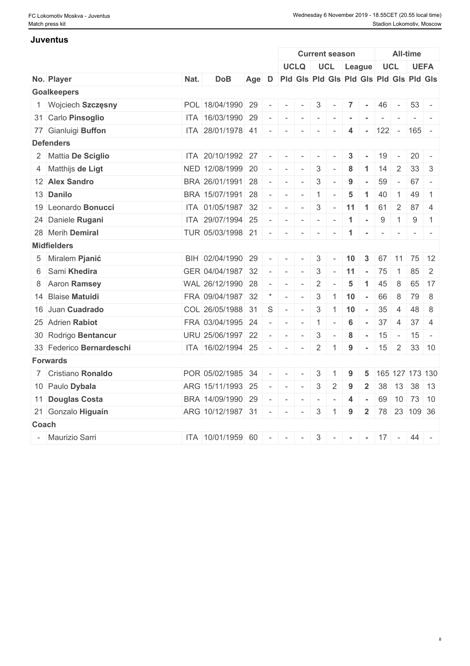#### **Juventus**

|                          |      |                   |       |           |                                                                                                | <b>Current season</b>                   |                 |                          |                         |                | <b>All-time</b> |                 |                 |                |  |
|--------------------------|------|-------------------|-------|-----------|------------------------------------------------------------------------------------------------|-----------------------------------------|-----------------|--------------------------|-------------------------|----------------|-----------------|-----------------|-----------------|----------------|--|
|                          |      |                   |       |           |                                                                                                | <b>UCLQ</b>                             |                 |                          | UCL League              |                |                 |                 | UCL UEFA        |                |  |
| No. Player               | Nat. | <b>DoB</b>        | Age D |           |                                                                                                | Pid Gis Pid Gis Pid Gis Pid Gis Pid Gis |                 |                          |                         |                |                 |                 |                 |                |  |
| <b>Goalkeepers</b>       |      |                   |       |           |                                                                                                |                                         |                 |                          |                         |                |                 |                 |                 |                |  |
| 1 Wojciech Szczęsny      |      | POL 18/04/1990 29 |       |           | $\sim$                                                                                         | $\sim$                                  | $3\phantom{.0}$ | $\sim$                   | $\overline{7}$          | $\sim$         | 46              | $\sim$ $-$      | $53 -$          |                |  |
| 31 Carlo Pinsoglio       |      | ITA 16/03/1990 29 |       |           | $\sim$                                                                                         | $\sim$                                  |                 |                          |                         |                |                 |                 |                 |                |  |
| 77 Gianluigi Buffon      |      | ITA 28/01/1978 41 |       | $\sim$    | $\sim$                                                                                         | $\sim$                                  | $\sim$          | $\overline{\phantom{a}}$ | 4                       |                |                 |                 | $- 122 - 165 -$ |                |  |
| <b>Defenders</b>         |      |                   |       |           |                                                                                                |                                         |                 |                          |                         |                |                 |                 |                 |                |  |
| 2 Mattia De Sciglio      |      | ITA 20/10/1992 27 |       | $\sim$    | $\sim$                                                                                         | $\sim$                                  | $\sim$          |                          | 3                       |                | 19              | $\sim$          | 20 <sup>1</sup> | $\sim$ $-$     |  |
| 4 Matthijs de Ligt       |      | NED 12/08/1999 20 |       |           | $   -$                                                                                         |                                         | $\mathbf{3}$    | $\sim$                   | 8                       | $\mathbf{1}$   | 14              | 2               | 33 <sup>1</sup> | $\mathbf{3}$   |  |
| 12 Alex Sandro           |      | BRA 26/01/1991 28 |       | $\omega$  | $\sim$                                                                                         | $\sim$                                  | 3               | $\sim$                   | 9                       |                | 59              | $\sim$          | $67 -$          |                |  |
| 13 Danilo                |      | BRA 15/07/1991 28 |       |           | the contract of the                                                                            | $\sim$                                  | $\vert$ 1       | $\overline{\phantom{a}}$ | 5                       | $\mathbf{1}$   | 40              | $\overline{1}$  | 49              | $\overline{1}$ |  |
| 19 Leonardo Bonucci      |      | ITA 01/05/1987 32 |       | $\sim$    | $\mathbf{1}$                                                                                   | $\mathcal{L}_{\mathcal{A}}$             | 3               | $\sim$                   | 11                      | $\overline{1}$ | 61              | $\overline{2}$  | $87 \;   \; 4$  |                |  |
| 24 Daniele Rugani        |      | ITA 29/07/1994 25 |       |           |                                                                                                | $     -$                                |                 | $\sim$ 100 $\pm$         | $\blacktriangleleft$    | $\sim$         | 9               | $\overline{1}$  | 9               | $\overline{1}$ |  |
| 28 Merih Demiral         |      | TUR 05/03/1998 21 |       |           | $-1 - 1$                                                                                       |                                         |                 | $\vert \cdot \vert$      | $\blacktriangleleft$    | $\sim$         | $\sim$          | $\mathbf{r}$    | $1 - 1 - 1 = 1$ |                |  |
| <b>Midfielders</b>       |      |                   |       |           |                                                                                                |                                         |                 |                          |                         |                |                 |                 |                 |                |  |
| 5 Miralem Pjanić         |      | BIH 02/04/1990 29 |       | $\sim$    | $\sim$                                                                                         | $\sim$                                  | 3               | $\sim$                   | 10                      | $\mathbf{3}$   |                 |                 | 67 11 75 12     |                |  |
| 6 Sami Khedira           |      | GER 04/04/1987 32 |       |           | $\frac{1}{2} \left( \frac{1}{2} \right) \left( \frac{1}{2} \right) \left( \frac{1}{2} \right)$ | $\sim$                                  |                 |                          | $3$ - 11 - 75           |                |                 | $\overline{1}$  | $85 \quad 2$    |                |  |
| 8 Aaron Ramsey           |      | WAL 26/12/1990 28 |       | $\sim$    | $\sim$                                                                                         | $\sim$                                  | $\overline{2}$  |                          | $\sqrt{5}$              | $\mathbf{1}$   | 45              | 8               |                 | 65 17          |  |
| 14 Blaise Matuidi        |      | FRA 09/04/1987 32 |       |           | $\sim$                                                                                         | $\sim$                                  | $\mathbf{3}$    |                          | $1 \vert 10$            | $\sim$         | 66              | 8               | 79              | -8             |  |
| 16 Juan Cuadrado         |      | COL 26/05/1988 31 |       | $\vert$ S | $\sim$                                                                                         | $\sim$                                  | $\mathbf{3}$    | $\overline{1}$           | 10                      | $\sim$         | 35              | $\overline{4}$  | 48              | - 8            |  |
| 25 Adrien Rabiot         |      | FRA 03/04/1995 24 |       | $\sim$    | $\sim$                                                                                         | $\sim$                                  | $\vert$ 1       | $\sim$                   | 6                       | $\sim$         | 37              | $\overline{4}$  | 37              | -4             |  |
| 30 Rodrigo Bentancur     |      | URU 25/06/1997 22 |       |           |                                                                                                |                                         | $\mathbf{3}$    | $\sim$                   | 8                       | $\sim$ $-$     | 15              | $\sim$ $-$      | $15 -$          |                |  |
| 33 Federico Bernardeschi |      | ITA 16/02/1994 25 |       |           |                                                                                                | $-1 - 1 - 1 - 1$                        | $\overline{2}$  | $\vert$ 1                | 9                       |                | $-15$           | $\vert 2 \vert$ |                 | $33 \mid 10$   |  |
| <b>Forwards</b>          |      |                   |       |           |                                                                                                |                                         |                 |                          |                         |                |                 |                 |                 |                |  |
| 7 Cristiano Ronaldo      |      | POR 05/02/1985 34 |       | $\sim$    | $\sim$                                                                                         | $\sim$                                  | 3               |                          | 9                       | 5              |                 |                 | 165 127 173 130 |                |  |
| 10 Paulo Dybala          |      | ARG 15/11/1993 25 |       | $\sim$    | $\sim$                                                                                         | $\sim$                                  | $\mathbf{3}$    | 2                        | 9                       | $\overline{2}$ |                 |                 | 38 13 38 13     |                |  |
| 11 Douglas Costa         |      | BRA 14/09/1990 29 |       | $\sim$    | $\sim$                                                                                         | $\sim$                                  | $\sim$          | $\overline{\phantom{a}}$ | $\overline{\mathbf{4}}$ | $\sim$         | 69              |                 | $10$ 73 10      |                |  |
| 21 Gonzalo Higuaín       |      | ARG 10/12/1987 31 |       | $\sim$    | $\sim$                                                                                         | $\sim$                                  | $\mathbf{3}$    | $\mathbf{1}$             | 9                       | $2^{\circ}$    |                 |                 | 78 23 109 36    |                |  |
| Coach                    |      |                   |       |           |                                                                                                |                                         |                 |                          |                         |                |                 |                 |                 |                |  |
|                          |      |                   |       |           |                                                                                                |                                         |                 |                          |                         |                |                 |                 |                 |                |  |
| - Maurizio Sarri         |      | ITA 10/01/1959 60 |       |           | and the state                                                                                  | $\mathbf{1}$                            | $\mathbf{3}$    | $\sim$                   | $\sim$                  |                | $-17 -$         |                 | 44 -            |                |  |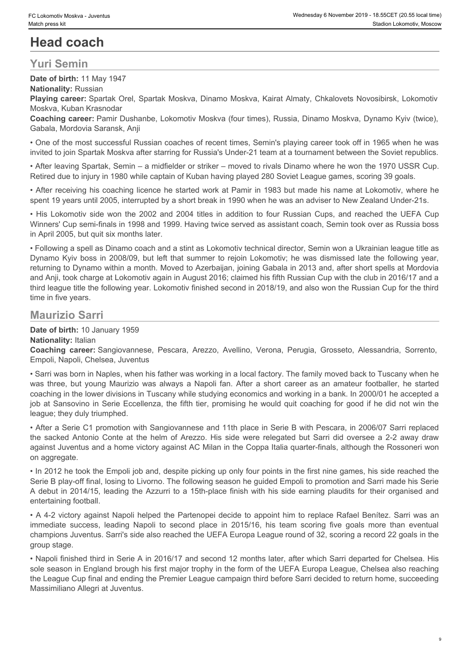# **Head coach**

# **Yuri Semin**

**Date of birth:** 11 May 1947

**Nationality:** Russian **Playing career:** Spartak Orel, Spartak Moskva, Dinamo Moskva, Kairat Almaty, Chkalovets Novosibirsk, Lokomotiv Moskva, Kuban Krasnodar

**Coaching career:** Pamir Dushanbe, Lokomotiv Moskva (four times), Russia, Dinamo Moskva, Dynamo Kyiv (twice), Gabala, Mordovia Saransk, Anji

• One of the most successful Russian coaches of recent times, Semin's playing career took off in 1965 when he was invited to join Spartak Moskva after starring for Russia's Under-21 team at a tournament between the Soviet republics.

• After leaving Spartak, Semin – a midfielder or striker – moved to rivals Dinamo where he won the 1970 USSR Cup. Retired due to injury in 1980 while captain of Kuban having played 280 Soviet League games, scoring 39 goals.

• After receiving his coaching licence he started work at Pamir in 1983 but made his name at Lokomotiv, where he spent 19 years until 2005, interrupted by a short break in 1990 when he was an adviser to New Zealand Under-21s.

Winners' Cup semi-finals in 1998 and 1999. Having twice served as assistant coach, Semin took over as Russia boss in April 2005, but quit six months later.

• Clatenale Moles - Jewelre<br>• Wednessian Shares Head<br>
• His Lokomotive 1:0 states in a shares work of the 2014<br>• His Lokomotive Mathin 1:1 May 1947<br>• Harbin 1:1 May 1947<br>• Harbin 1:1 May 1947<br>• Harbin Comparent Spartan Kor • Following a spell as Dinamo coach and a stint as Lokomotiv technical director, Semin won a Ukrainian league title as Dynamo Kyiv boss in 2008/09, but left that summer to rejoin Lokomotiv; he was dismissed late the following year, returning to Dynamo within a month. Moved to Azerbaijan, joining Gabala in 2013 and, after short spells at Mordovia and Anji, took charge at Lokomotiv again in August 2016; claimed his fifth Russian Cup with the club in 2016/17 and a third league title the following year. Lokomotiv finished second in 2018/19, and also won the Russian Cup for the third time in five years. Coareer: Wate Johnson<br>
Control Coachimate School Coachimate School Coachimate School Coachimate School Coachimate School Coachimate School Coachimate School Coachimate School Coachimate School Coachimate School Coachimate Custom Ackes - awane<br>
Was three in the start of the start of the start of the start of the start of the start of the start of the start<br>
Was columns in the start of the start of the start of the start of the start of the s Yuri Semin<br>
Yuri Seminah yang tang<br>
Nationality: three yang term (seminah chemic Mosked, Uniamo Mosked, Kalitat Africany, Chemics the helm of Arezzo.<br>
Nationality: the same player spectra CAP<br>
Conteming arener: Player Unit Concil to the most success will Russian concluse of neomi times, Semine Japing career took of in 1960 when he vas-<br>Concil to second plane in the most concluse of the most control to second plane where it and the most conce

# **Maurizio Sarri**

**Date of birth:** 10 January 1959

**Nationality:** Italian

Empoli, Napoli, Chelsea, Juventus

• Sarri was born in Naples, when his father was working in a local factory. The family moved back to Tuscany when he coaching in the lower divisions in Tuscany while studying economics and working in a bank. In 2000/01 he accepted a job at Sansovino in Serie Eccellenza, the fifth tier, promising he would quit coaching for good if he did not win the league; they duly triumphed.

• After a Serie C1 promotion with Sangiovannese and 11th place in Serie B with Pescara, in 2006/07 Sarri replaced against Juventus and a home victory against AC Milan in the Coppa Italia quarter-finals, although the Rossoneri won on aggregate.

• In 2012 he took the Empoli job and, despite picking up only four points in the first nine games, his side reached the Serie B play-off final, losing to Livorno. The following season he guided Empoli to promotion and Sarri made his Serie A debut in 2014/15, leading the Azzurri to a 15th-place finish with his side earning plaudits for their organised and entertaining football.

• A 4-2 victory against Napoli helped the Partenopei decide to appoint him to replace Rafael Benítez. Sarri was an champions Juventus. Sarri's side also reached the UEFA Europa League round of 32, scoring a record 22 goals in the group stage.

• Napoli finished third in Serie A in 2016/17 and second 12 months later, after which Sarri departed for Chelsea. His sole season in England brough his first major trophy in the form of the UEFA Europa League, Chelsea also reaching the League Cup final and ending the Premier League campaign third before Sarri decided to return home, succeeding Massimiliano Allegri at Juventus.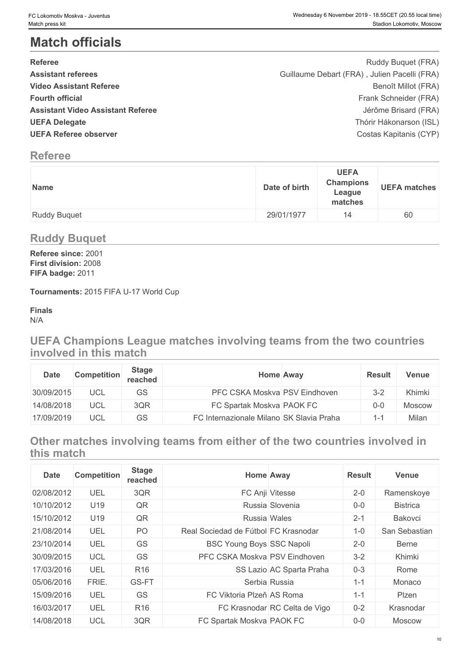# **Match officials**

| <b>Referee</b>                           | Ruddy Buquet (FRA)                           |  |
|------------------------------------------|----------------------------------------------|--|
| <b>Assistant referees</b>                | Guillaume Debart (FRA), Julien Pacelli (FRA) |  |
| <b>Video Assistant Referee</b>           | Benoît Millot (FRA)                          |  |
| <b>Fourth official</b>                   | Frank Schneider (FRA)                        |  |
| <b>Assistant Video Assistant Referee</b> | Jérôme Brisard (FRA)                         |  |
| <b>UEFA Delegate</b>                     | Thórir Hákonarson (ISL)                      |  |
| <b>UEFA Referee observer</b>             | Costas Kapitanis (CYP)                       |  |
|                                          |                                              |  |

# **Referee**

| <b>Name</b>         | Date of birth | <b>UEFA</b><br><b>Champions</b><br>League<br>matches | <b>UEFA matches</b> |
|---------------------|---------------|------------------------------------------------------|---------------------|
| <b>Ruddy Buquet</b> | 29/01/1977    | 14                                                   | 60                  |

# **Ruddy Buquet**

**Referee since:** 2001 **First division:** 2008 **FIFA badge:** 2011

**Tournaments:** 2015 FIFA U-17 World Cup

**Finals** N/A

**UEFA Champions League matches involving teams from the two countries involved in this match**

| <b>Date</b> | <b>Competition</b> | <b>Stage</b><br>reached | <b>Home Away</b>                         | <b>Result</b> | Venue  |
|-------------|--------------------|-------------------------|------------------------------------------|---------------|--------|
| 30/09/2015  | <b>UCL</b>         | GS                      | PFC CSKA Moskva PSV Eindhoven            | $3 - 2$       | Khimki |
| 14/08/2018  | <b>UCL</b>         | 3QR                     | FC Spartak Moskva PAOK FC                |               | Moscow |
| 17/09/2019  | UCL                | GS                      | FC Internazionale Milano SK Slavia Praha |               | Milan  |

**Other matches involving teams from either of the two countries involved in this match**

| <b>Date</b> | <b>Competition</b> | <b>Stage</b><br>reached |                                      | <b>Home Away</b>              | <b>Result</b> | <b>Venue</b>    |
|-------------|--------------------|-------------------------|--------------------------------------|-------------------------------|---------------|-----------------|
| 02/08/2012  | UEL                | 3QR                     |                                      | FC Anji Vitesse               | $2 - 0$       | Ramenskoye      |
| 10/10/2012  | U19                | QR                      |                                      | Russia Slovenia               | $0-0$         | <b>Bistrica</b> |
| 15/10/2012  | U19                | QR                      |                                      | Russia Wales                  | $2 - 1$       | Bakovci         |
| 21/08/2014  | UEL                | <b>PO</b>               | Real Sociedad de Fútbol FC Krasnodar |                               | $1 - 0$       | San Sebastian   |
| 23/10/2014  | UEL                | <b>GS</b>               | <b>BSC Young Boys SSC Napoli</b>     |                               | $2 - 0$       | Berne           |
| 30/09/2015  | <b>UCL</b>         | <b>GS</b>               | PFC CSKA Moskva PSV Eindhoven        |                               | $3 - 2$       | Khimki          |
| 17/03/2016  | UEL                | R <sub>16</sub>         |                                      | SS Lazio AC Sparta Praha      | $0 - 3$       | Rome            |
| 05/06/2016  | FRIE.              | GS-FT                   |                                      | Serbia Russia                 | $1 - 1$       | Monaco          |
| 15/09/2016  | UEL                | <b>GS</b>               | FC Viktoria Plzeň AS Roma            |                               | $1 - 1$       | Plzen           |
| 16/03/2017  | UEL                | R <sub>16</sub>         |                                      | FC Krasnodar RC Celta de Vigo | $0 - 2$       | Krasnodar       |
| 14/08/2018  | <b>UCL</b>         | 3QR                     | FC Spartak Moskva PAOK FC            |                               | $0-0$         | Moscow          |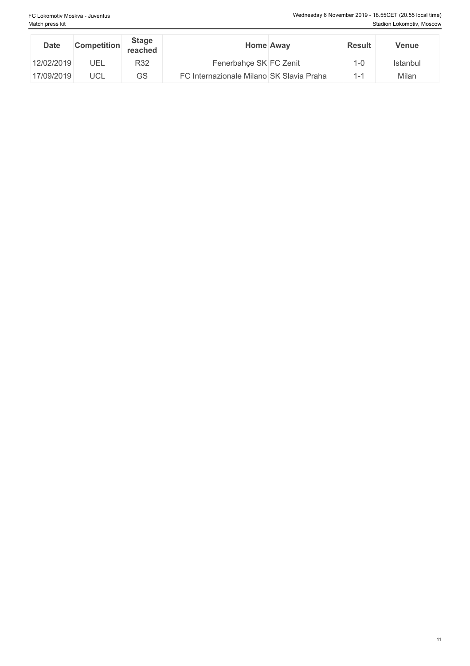| <b>Date</b> | <b>Competition</b> | Stage<br>reached | <b>Home Away</b>                         | <b>Result</b>  | Venue    |
|-------------|--------------------|------------------|------------------------------------------|----------------|----------|
| 12/02/2019  | UEL                | R32              | Fenerbahce SK FC Zenit                   | $ -0$          | Istanbul |
| 17/09/2019  | UCL                | GS               | FC Internazionale Milano SK Slavia Praha | $\overline{A}$ | Milan    |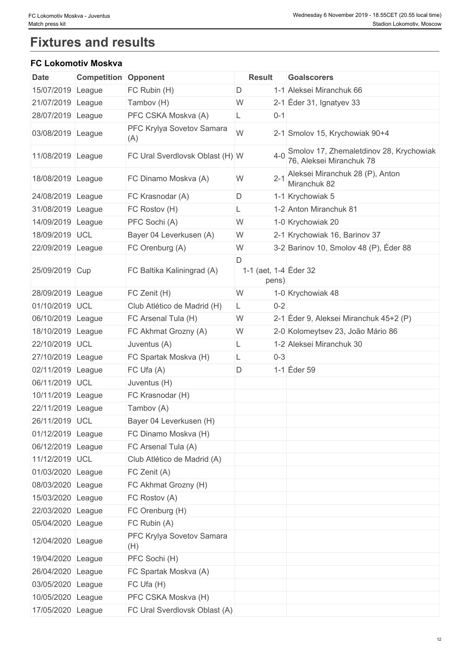# **Fixtures and results**

## **FC Lokomotiv Moskva**

| <b>Date</b>       | <b>Competition Opponent</b> |                                  | <b>Result</b>                       | <b>Goalscorers</b>                                                  |
|-------------------|-----------------------------|----------------------------------|-------------------------------------|---------------------------------------------------------------------|
| 15/07/2019 League |                             | FC Rubin (H)                     | D                                   | 1-1 Aleksei Miranchuk 66                                            |
| 21/07/2019 League |                             | Tambov (H)                       | W                                   | 2-1 $E$ der 31, Ignatyev 33                                         |
| 28/07/2019 League |                             | PFC CSKA Moskva (A)              | $0 - 1$                             |                                                                     |
| 03/08/2019 League |                             | PFC Krylya Sovetov Samara<br>(A) | W                                   | 2-1 Smolov 15, Krychowiak 90+4                                      |
| 11/08/2019 League |                             | FC Ural Sverdlovsk Oblast (H) W  | $4 - 0$                             | Smolov 17, Zhemaletdinov 28, Krychowiak<br>76, Aleksei Miranchuk 78 |
| 18/08/2019 League |                             | FC Dinamo Moskva (A)             | $2 - 1$<br>W                        | Aleksei Miranchuk 28 (P), Anton<br>Miranchuk 82                     |
| 24/08/2019 League |                             | FC Krasnodar (A)                 | D                                   | 1-1 Krychowiak 5                                                    |
| 31/08/2019 League |                             | FC Rostov (H)                    | L                                   | 1-2 Anton Miranchuk 81                                              |
| 14/09/2019 League |                             | PFC Sochi (A)                    | W                                   | 1-0 Krychowiak 20                                                   |
| 18/09/2019 UCL    |                             | Bayer 04 Leverkusen (A)          | W                                   | 2-1 Krychowiak 16, Barinov 37                                       |
| 22/09/2019 League |                             | FC Orenburg (A)                  | W                                   | 3-2 Barinov 10, Smolov 48 (P), Éder 88                              |
| 25/09/2019 Cup    |                             | FC Baltika Kaliningrad (A)       | D<br>1-1 (aet, 1-4 Eder 32<br>pens) |                                                                     |
| 28/09/2019 League |                             | FC Zenit (H)                     | W                                   | 1-0 Krychowiak 48                                                   |
| 01/10/2019 UCL    |                             | Club Atlético de Madrid (H)      | $0 - 2$<br>L                        |                                                                     |
| 06/10/2019 League |                             | FC Arsenal Tula (H)              | W                                   | 2-1 Éder 9, Aleksei Miranchuk 45+2 (P)                              |
| 18/10/2019 League |                             | FC Akhmat Grozny (A)             | W                                   | 2-0 Kolomeytsev 23, João Mário 86                                   |
| 22/10/2019 UCL    |                             | Juventus (A)                     |                                     | 1-2 Aleksei Miranchuk 30                                            |
| 27/10/2019 League |                             | FC Spartak Moskva (H)            | $0 - 3$<br>L                        |                                                                     |
| 02/11/2019 League |                             | FC Ufa (A)                       | D                                   | 1-1 Eder 59                                                         |
| 06/11/2019 UCL    |                             | Juventus (H)                     |                                     |                                                                     |
| 10/11/2019 League |                             | FC Krasnodar (H)                 |                                     |                                                                     |
| 22/11/2019 League |                             | Tambov (A)                       |                                     |                                                                     |
| 26/11/2019 UCL    |                             | Bayer 04 Leverkusen (H)          |                                     |                                                                     |
| 01/12/2019 League |                             | FC Dinamo Moskva (H)             |                                     |                                                                     |
| 06/12/2019 League |                             | FC Arsenal Tula (A)              |                                     |                                                                     |
| 11/12/2019 UCL    |                             | Club Atlético de Madrid (A)      |                                     |                                                                     |
| 01/03/2020 League |                             | FC Zenit (A)                     |                                     |                                                                     |
| 08/03/2020 League |                             | FC Akhmat Grozny (H)             |                                     |                                                                     |
| 15/03/2020 League |                             | FC Rostov (A)                    |                                     |                                                                     |
| 22/03/2020 League |                             | FC Orenburg (H)                  |                                     |                                                                     |
| 05/04/2020 League |                             | FC Rubin (A)                     |                                     |                                                                     |
| 12/04/2020 League |                             | PFC Krylya Sovetov Samara<br>(H) |                                     |                                                                     |
| 19/04/2020 League |                             | PFC Sochi (H)                    |                                     |                                                                     |
| 26/04/2020 League |                             | FC Spartak Moskva (A)            |                                     |                                                                     |
| 03/05/2020 League |                             | FC Ufa (H)                       |                                     |                                                                     |
| 10/05/2020 League |                             | PFC CSKA Moskva (H)              |                                     |                                                                     |
| 17/05/2020 League |                             | FC Ural Sverdlovsk Oblast (A)    |                                     |                                                                     |
|                   |                             |                                  |                                     |                                                                     |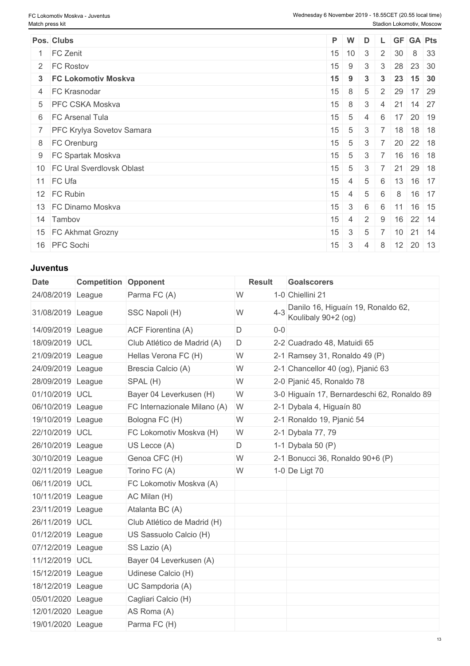### **Juventus**

| <b>Date</b>       | <b>Competition Opponent</b> |                              | <b>Result</b> | <b>Goalscorers</b>                                        |
|-------------------|-----------------------------|------------------------------|---------------|-----------------------------------------------------------|
| 24/08/2019 League |                             | Parma FC (A)                 | W             | 1-0 Chiellini 21                                          |
| 31/08/2019 League |                             | SSC Napoli (H)               | W             | Danilo 16, Higuaín 19, Ronaldo 62,<br>Koulibaly 90+2 (og) |
| 14/09/2019 League |                             | ACF Fiorentina (A)           | D<br>$0-0$    |                                                           |
| 18/09/2019 UCL    |                             | Club Atlético de Madrid (A)  | D             | 2-2 Cuadrado 48, Matuidi 65                               |
| 21/09/2019 League |                             | Hellas Verona FC (H)         | W             | 2-1 Ramsey 31, Ronaldo 49 $(P)$                           |
| 24/09/2019 League |                             | Brescia Calcio (A)           | W             | 2-1 Chancellor 40 (og), Pjanić 63                         |
| 28/09/2019 League |                             | SPAL (H)                     | W             | 2-0 Pjanić 45, Ronaldo 78                                 |
| 01/10/2019 UCL    |                             | Bayer 04 Leverkusen (H)      | W             | 3-0 Higuaín 17, Bernardeschi 62, Ronaldo 89               |
| 06/10/2019 League |                             | FC Internazionale Milano (A) | W             | 2-1 Dybala 4, Higuaín 80                                  |
| 19/10/2019 League |                             | Bologna FC (H)               | W             | 2-1 Ronaldo 19, Pjanić 54                                 |
| 22/10/2019 UCL    |                             | FC Lokomotiv Moskva (H)      | W             | 2-1 Dybala 77, 79                                         |
| 26/10/2019 League |                             | US Lecce (A)                 | $\mathsf D$   | 1-1 Dybala 50 $(P)$                                       |
| 30/10/2019 League |                             | Genoa CFC (H)                | W             | 2-1 Bonucci 36, Ronaldo 90+6 (P)                          |
| 02/11/2019 League |                             | Torino FC (A)                | W             | 1-0 De Ligt 70                                            |
| 06/11/2019 UCL    |                             | FC Lokomotiv Moskva (A)      |               |                                                           |
| 10/11/2019 League |                             | AC Milan (H)                 |               |                                                           |
| 23/11/2019 League |                             | Atalanta BC (A)              |               |                                                           |
| 26/11/2019 UCL    |                             | Club Atlético de Madrid (H)  |               |                                                           |
| 01/12/2019 League |                             | US Sassuolo Calcio (H)       |               |                                                           |
| 07/12/2019 League |                             | SS Lazio (A)                 |               |                                                           |
| 11/12/2019 UCL    |                             | Bayer 04 Leverkusen (A)      |               |                                                           |
| 15/12/2019 League |                             | Udinese Calcio (H)           |               |                                                           |
| 18/12/2019 League |                             | UC Sampdoria (A)             |               |                                                           |
| 05/01/2020 League |                             | Cagliari Calcio (H)          |               |                                                           |
| 12/01/2020 League |                             | AS Roma (A)                  |               |                                                           |
| 19/01/2020 League |                             | Parma FC (H)                 |               |                                                           |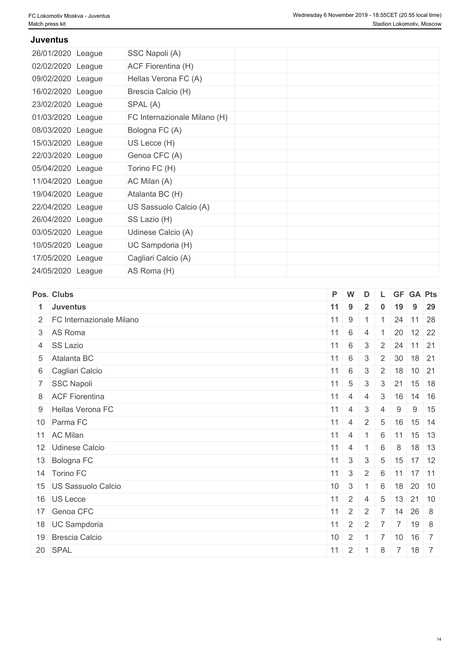#### **Juventus**

| 26/01/2020 League | SSC Napoli (A)               |  |  |  |
|-------------------|------------------------------|--|--|--|
| 02/02/2020 League | ACF Fiorentina (H)           |  |  |  |
| 09/02/2020 League | Hellas Verona FC (A)         |  |  |  |
| 16/02/2020 League | Brescia Calcio (H)           |  |  |  |
| 23/02/2020 League | SPAL (A)                     |  |  |  |
| 01/03/2020 League | FC Internazionale Milano (H) |  |  |  |
| 08/03/2020 League | Bologna FC (A)               |  |  |  |
| 15/03/2020 League | US Lecce (H)                 |  |  |  |
| 22/03/2020 League | Genoa CFC (A)                |  |  |  |
| 05/04/2020 League | Torino FC (H)                |  |  |  |
| 11/04/2020 League | AC Milan (A)                 |  |  |  |
| 19/04/2020 League | Atalanta BC (H)              |  |  |  |
| 22/04/2020 League | US Sassuolo Calcio (A)       |  |  |  |
| 26/04/2020 League | SS Lazio (H)                 |  |  |  |
| 03/05/2020 League | Udinese Calcio (A)           |  |  |  |
| 10/05/2020 League | UC Sampdoria (H)             |  |  |  |
| 17/05/2020 League | Cagliari Calcio (A)          |  |  |  |
| 24/05/2020 League | AS Roma (H)                  |  |  |  |

| Pos. Clubs                 |                 | P W             | D              |                 |     | L GF GA Pts                       |  |
|----------------------------|-----------------|-----------------|----------------|-----------------|-----|-----------------------------------|--|
| 1 Juventus                 |                 | $11 \quad 9$    | $\overline{2}$ |                 | 19  | $9 \quad 29$                      |  |
| 2 FC Internazionale Milano |                 | $11 \mid 9$     | $1 \quad 1$    |                 |     | 24 11 28                          |  |
| 3 AS Roma                  | 11              | 6               | $\overline{4}$ |                 | 20  | $12 \overline{\smash{\big)}\ 22}$ |  |
| 4 SS Lazio                 | 11              | 6               | $\overline{3}$ |                 |     | $2 \mid 24 \mid 11 \mid 21$       |  |
| 5 Atalanta BC              | 11              | $6\phantom{.}6$ | 3              |                 |     | 2 30 18 21                        |  |
| 6 Cagliari Calcio          |                 | $11 \mid 6$     | 3 <sup>3</sup> | $\overline{2}$  |     | 18 10 21                          |  |
| 7 SSC Napoli               |                 | $11 \mid 5$     | $\mathbf{3}$   | $\mathcal{S}$   | 21  | $15$ 18                           |  |
| 8 ACF Fiorentina           | $11 \mid 4$     |                 | $\overline{4}$ | 3               | 16  | $14 \mid 16$                      |  |
| 9 Hellas Verona FC         |                 | $11 \quad 4$    | $\mathbf{3}$   | $\overline{4}$  | 9   | $9 \mid 15$                       |  |
| 10 Parma FC                |                 | $11 \mid 4$     | 2              | $5\overline{)}$ | 16  | $15 \, 14$                        |  |
| 11 AC Milan                |                 | $11 \mid 4$     |                | 6               | 11  | $15$ 13                           |  |
| 12 Udinese Calcio          |                 | $11 \mid 4$     |                | 6               | 8   | $18$ 13                           |  |
| 13 Bologna FC              |                 | $11 \mid 3$     | $\mathbf{3}$   | $5\overline{)}$ |     | $15$ 17 12                        |  |
| 14 Torino FC               | 11              | $\mathbf{3}$    | $\overline{2}$ |                 |     | 6 11 17 11                        |  |
| 15 US Sassuolo Calcio      | 10 <sup>°</sup> | 3               |                | 6               |     | $18$ 20 10                        |  |
| 16 US Lecce                |                 | $11 \quad 2$    | $\overline{4}$ | 5 <sup>5</sup>  |     | $13$ 21 10                        |  |
| 17 Genoa CFC               | 11              | $\overline{2}$  | 2              | $\overline{7}$  | 14  | 26 8                              |  |
| 18 UC Sampdoria            | 11              | $2^{\circ}$     | 2              |                 | 7 7 | 19 8                              |  |
| 19 Brescia Calcio          | 10              | $\overline{2}$  | $-1$           | $\overline{7}$  | 10  | $16$ 7                            |  |
| 20 SPAL                    | 11              |                 | $2 \mid 1$     | 8               |     | $7 \mid 18 \mid 7$                |  |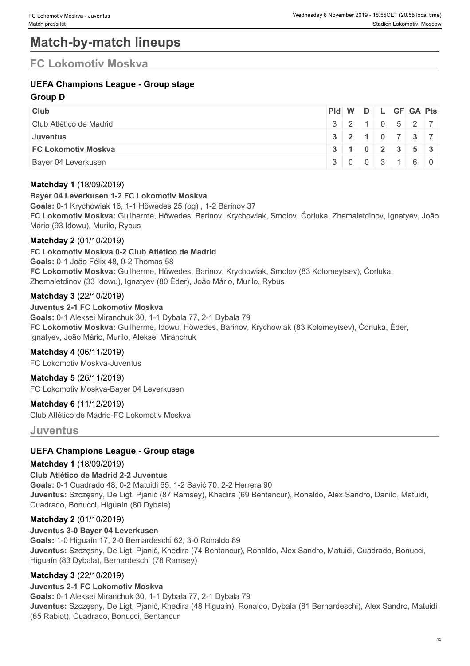# **Match-by-match lineups**

# **FC Lokomotiv Moskva**

## **UEFA Champions League - Group stage**

### **Group D**

| <b>Club</b>                | $PId \mid W \mid D \mid L \mid GF \mid GA \mid Pts \mid$ |  |  |                                               |
|----------------------------|----------------------------------------------------------|--|--|-----------------------------------------------|
| Club Atlético de Madrid    |                                                          |  |  | $3$ 2 1 0 5 2 7                               |
| <b>Juventus</b>            |                                                          |  |  | 32110737                                      |
| <b>FC Lokomotiv Moskva</b> |                                                          |  |  | $3 \mid 1 \mid 0 \mid 2 \mid 3 \mid 5 \mid 3$ |
| Bayer 04 Leverkusen        |                                                          |  |  | $3 \mid 0 \mid 0 \mid 3 \mid 1 \mid 6 \mid 0$ |

### **Matchday 1** (18/09/2019)

#### **Bayer 04 Leverkusen 1-2 FC Lokomotiv Moskva**

**Goals:** 0-1 Krychowiak 16, 1-1 Höwedes 25 (og) , 1-2 Barinov 37 **FC Lokomotiv Moskva:** Guilherme, Höwedes, Barinov, Krychowiak, Smolov, Ćorluka, Zhemaletdinov, Ignatyev, João Mário (93 Idowu), Murilo, Rybus

### **Matchday 2** (01/10/2019)

**FC Lokomotiv Moskva 0-2 Club Atlético de Madrid**

**Goals:** 0-1 João Félix 48, 0-2 Thomas 58

**FC Lokomotiv Moskva:** Guilherme, Höwedes, Barinov, Krychowiak, Smolov (83 Kolomeytsev), Ćorluka, Zhemaletdinov (33 Idowu), Ignatyev (80 Éder), João Mário, Murilo, Rybus

#### **Matchday 3** (22/10/2019)

**Juventus 2-1 FC Lokomotiv Moskva Goals:** 0-1 Aleksei Miranchuk 30, 1-1 Dybala 77, 2-1 Dybala 79 **FC Lokomotiv Moskva:** Guilherme, Idowu, Höwedes, Barinov, Krychowiak (83 Kolomeytsev), Ćorluka, Éder, Ignatyev, João Mário, Murilo, Aleksei Miranchuk

# **Matchday 4** (06/11/2019)

FC Lokomotiv Moskva-Juventus

**Matchday 5** (26/11/2019) FC Lokomotiv Moskva-Bayer 04 Leverkusen

**Matchday 6** (11/12/2019) Club Atlético de Madrid-FC Lokomotiv Moskva

**Juventus**

### **UEFA Champions League - Group stage**

#### **Matchday 1** (18/09/2019)

**Club Atlético de Madrid 2-2 Juventus Goals:** 0-1 Cuadrado 48, 0-2 Matuidi 65, 1-2 Savić 70, 2-2 Herrera 90 **Juventus:** Szczęsny, De Ligt, Pjanić (87 Ramsey), Khedira (69 Bentancur), Ronaldo, Alex Sandro, Danilo, Matuidi, Cuadrado, Bonucci, Higuaín (80 Dybala)

### **Matchday 2** (01/10/2019)

**Juventus 3-0 Bayer 04 Leverkusen Goals:** 1-0 Higuaín 17, 2-0 Bernardeschi 62, 3-0 Ronaldo 89 **Juventus:** Szczęsny, De Ligt, Pjanić, Khedira (74 Bentancur), Ronaldo, Alex Sandro, Matuidi, Cuadrado, Bonucci, Higuaín (83 Dybala), Bernardeschi (78 Ramsey)

### **Matchday 3** (22/10/2019)

### **Juventus 2-1 FC Lokomotiv Moskva**

**Goals:** 0-1 Aleksei Miranchuk 30, 1-1 Dybala 77, 2-1 Dybala 79 **Juventus:** Szczęsny, De Ligt, Pjanić, Khedira (48 Higuaín), Ronaldo, Dybala (81 Bernardeschi), Alex Sandro, Matuidi (65 Rabiot), Cuadrado, Bonucci, Bentancur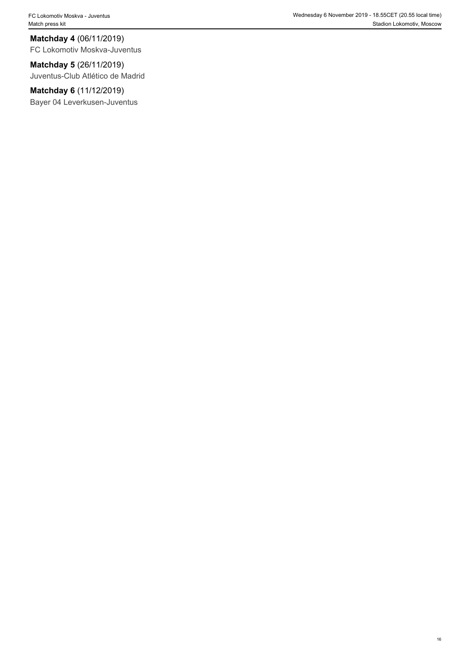FC Lokomotiv Moskva - Juventus Wednesday 6 November 2019 - 18.55CET (20.55 local time) Match press kit Stadion Lokomotiv, Moscow Nation Lokomotiv, Moscow Nation Lokomotiv, Moscow

**Matchday 4** (06/11/2019) FC Lokomotiv Moskva-Juventus

**Matchday 5** (26/11/2019) Juventus-Club Atlético de Madrid

**Matchday 6** (11/12/2019) Bayer 04 Leverkusen-Juventus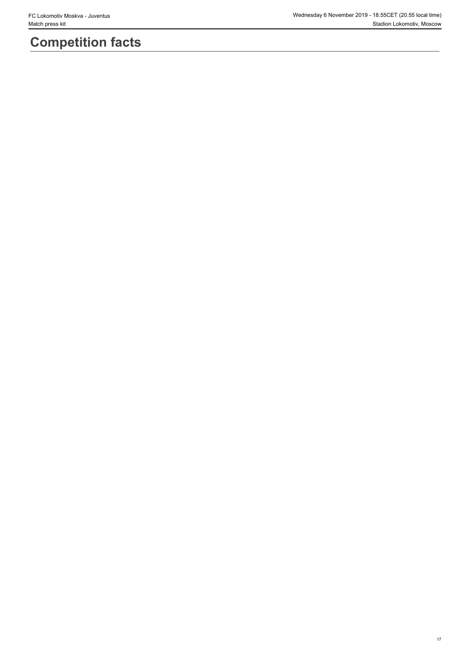# **Competition facts**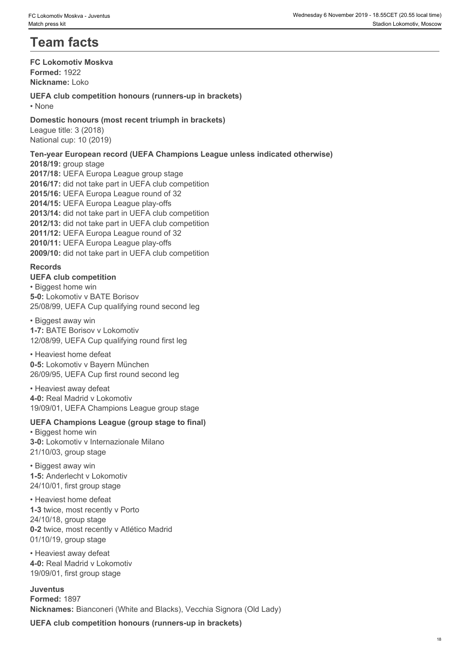# **Team facts**

**FC Lokomotiv Moskva Formed:** 1922 **Nickname:** Loko

**UEFA club competition honours (runners-up in brackets)** • None **blue** and **blue** and **blue** and **blue** and **blue** and **blue** and **blue** and **blue** and **blue** and **blue** and **blue** and **blue** and **blue** and **blue** and **blue** and **blue** and **blue** and **blue** and **blue** and **blue** 

**Domestic honours (most recent triumph in brackets)** League title: 3 (2018) National cup: 10 (2019)

**Ten-year European record (UEFA Champions League unless indicated otherwise)**

**2018/19:** group stage **2017/18:** UEFA Europa League group stage **2016/17:** did not take part in UEFA club competition **2015/16:** UEFA Europa League round of 32 **2014/15:** UEFA Europa League play-offs **2013/14:** did not take part in UEFA club competition **2012/13:** did not take part in UEFA club competition **2011/12:** UEFA Europa League round of 32 **2010/11:** UEFA Europa League play-offs **2009/10:** did not take part in UEFA club competition

#### **Records**

**UEFA club competition** • Biggest home win **5-0:** Lokomotiv v BATE Borisov 25/08/99, UEFA Cup qualifying round second leg

• Biggest away win **1-7:** BATE Borisov v Lokomotiv 12/08/99, UEFA Cup qualifying round first leg

• Heaviest home defeat **0-5:** Lokomotiv v Bayern München 26/09/95, UEFA Cup first round second leg

• Heaviest away defeat **4-0:** Real Madrid v Lokomotiv 19/09/01, UEFA Champions League group stage

### **UEFA Champions League (group stage to final)**

• Biggest home win **3-0:** Lokomotiv v Internazionale Milano 21/10/03, group stage

• Biggest away win **1-5:** Anderlecht v Lokomotiv 24/10/01, first group stage

• Heaviest home defeat **1-3** twice, most recently v Porto 24/10/18, group stage **0-2** twice, most recently v Atlético Madrid 01/10/19, group stage

• Heaviest away defeat **4-0:** Real Madrid v Lokomotiv 19/09/01, first group stage

**Juventus Formed:** 1897 **Nicknames:** Bianconeri (White and Blacks), Vecchia Signora (Old Lady)

**UEFA club competition honours (runners-up in brackets)**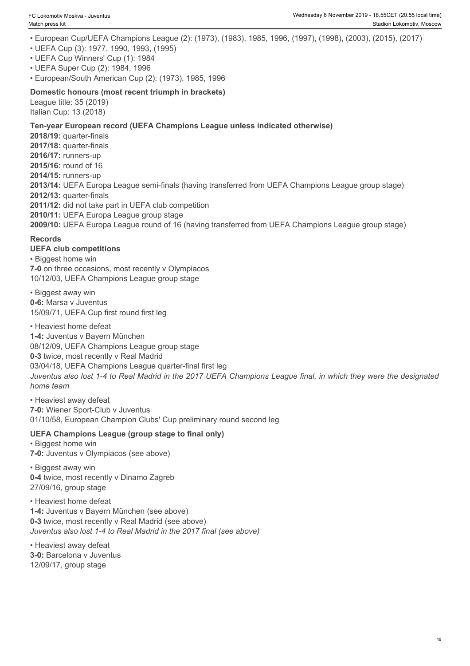- European Cup/UEFA Champions League (2): (1973), (1983), 1985, 1996, (1997), (1998), (2003), (2015), (2017) • UEFA Cup (3): 1977, 1990, 1993, (1995) • UEFA Cup Winners' Cup (1): 1984 • UEFA Super Cup (2): 1984, 1996 • European/South American Cup (2): (1973), 1985, 1996 **Domestic honours (most recent triumph in brackets)** League title: 35 (2019) Italian Cup: 13 (2018) **Ten-year European record (UEFA Champions League unless indicated otherwise) 2018/19:** quarter-finals **2017/18:** quarter-finals **2016/17:** runners-up **2015/16:** round of 16 **2014/15:** runners-up **2013/14:** UEFA Europa League semi-finals (having transferred from UEFA Champions League group stage) **2012/13:** quarter-finals **2011/12:** did not take part in UEFA club competition **2010/11:** UEFA Europa League group stage **2009/10:** UEFA Europa League round of 16 (having transferred from UEFA Champions League group stage) **Records UEFA club competitions** • Biggest home win **7-0** on three occasions, most recently v Olympiacos 10/12/03, UEFA Champions League group stage • Biggest away win **0-6:** Marsa v Juventus 15/09/71, UEFA Cup first round first leg • Heaviest home defeat **1-4:** Juventus v Bayern München 08/12/09, UEFA Champions League group stage **0-3** twice, most recently v Real Madrid 03/04/18, UEFA Champions League quarter-final first leg *Juventus also lost 1-4 to Real Madrid in the 2017 UEFA Champions League final, in which they were the designated home team* • Heaviest away defeat **7-0:** Wiener Sport-Club v Juventus 01/10/58, European Champion Clubs' Cup preliminary round second leg **UEFA Champions League (group stage to final only)** • Biggest home win **7-0:** Juventus v Olympiacos (see above) • Biggest away win **0-4** twice, most recently v Dinamo Zagreb 27/09/16, group stage • Heaviest home defeat **1-4:** Juventus v Bayern München (see above) **0-3** twice, most recently v Real Madrid (see above) *Juventus also lost 1-4 to Real Madrid in the 2017 final (see above)*
- Heaviest away defeat **3-0:** Barcelona v Juventus 12/09/17, group stage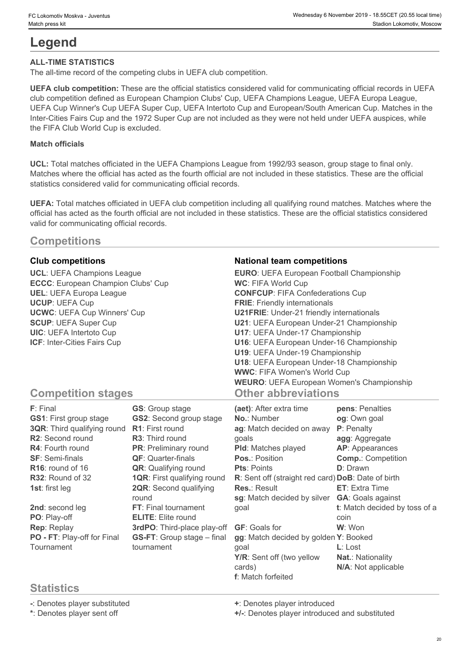# **Legend**

#### **ALL-TIME STATISTICS**

The all-time record of the competing clubs in UEFA club competition.

**UEFA club competition:** These are the official statistics considered valid for communicating official records in UEFA club competition defined as European Champion Clubs' Cup, UEFA Champions League, UEFA Europa League, UEFA Cup Winner's Cup UEFA Super Cup, UEFA Intertoto Cup and European/South American Cup. Matches in the Inter-Cities Fairs Cup and the 1972 Super Cup are not included as they were not held under UEFA auspices, while the FIFA Club World Cup is excluded.

#### **Match officials**

**UCL:** Total matches officiated in the UEFA Champions League from 1992/93 season, group stage to final only. Matches where the official has acted as the fourth official are not included in these statistics. These are the official statistics considered valid for communicating official records.

**UEFA:** Total matches officiated in UEFA club competition including all qualifying round matches. Matches where the official has acted as the fourth official are not included in these statistics. These are the official statistics considered valid for communicating official records.

# **Competitions**

| <b>Club competitions</b><br><b>UCL: UEFA Champions League</b><br>ECCC: European Champion Clubs' Cup<br><b>UEL: UEFA Europa League</b><br><b>UCUP: UEFA Cup</b><br><b>UCWC: UEFA Cup Winners' Cup</b><br><b>SCUP: UEFA Super Cup</b><br><b>UIC: UEFA Intertoto Cup</b><br><b>ICF: Inter-Cities Fairs Cup</b>                    |                                                                                                                                                                                                                                                                                                                                                                                                            | <b>National team competitions</b><br><b>EURO: UEFA European Football Championship</b><br>WC: FIFA World Cup<br><b>CONFCUP: FIFA Confederations Cup</b><br><b>FRIE:</b> Friendly internationals<br><b>U21FRIE:</b> Under-21 friendly internationals<br>U21: UEFA European Under-21 Championship<br>U17: UEFA Under-17 Championship<br>U16: UEFA European Under-16 Championship<br>U19: UEFA Under-19 Championship<br>U18: UEFA European Under-18 Championship<br><b>WWC: FIFA Women's World Cup</b> |                                                                                                                                                                                                                                                                                                      |
|--------------------------------------------------------------------------------------------------------------------------------------------------------------------------------------------------------------------------------------------------------------------------------------------------------------------------------|------------------------------------------------------------------------------------------------------------------------------------------------------------------------------------------------------------------------------------------------------------------------------------------------------------------------------------------------------------------------------------------------------------|----------------------------------------------------------------------------------------------------------------------------------------------------------------------------------------------------------------------------------------------------------------------------------------------------------------------------------------------------------------------------------------------------------------------------------------------------------------------------------------------------|------------------------------------------------------------------------------------------------------------------------------------------------------------------------------------------------------------------------------------------------------------------------------------------------------|
| <b>Competition stages</b>                                                                                                                                                                                                                                                                                                      |                                                                                                                                                                                                                                                                                                                                                                                                            | <b>WEURO: UEFA European Women's Championship</b><br><b>Other abbreviations</b>                                                                                                                                                                                                                                                                                                                                                                                                                     |                                                                                                                                                                                                                                                                                                      |
| F: Final<br><b>GS1:</b> First group stage<br><b>3QR:</b> Third qualifying round<br>R2: Second round<br>R4: Fourth round<br><b>SF: Semi-finals</b><br>R <sub>16</sub> : round of 16<br>R32: Round of 32<br><b>1st:</b> first leg<br>2nd: second leg<br>PO: Play-off<br>Rep: Replay<br>PO - FT: Play-off for Final<br>Tournament | <b>GS:</b> Group stage<br><b>GS2: Second group stage</b><br>R1: First round<br>R3: Third round<br>PR: Preliminary round<br><b>QF:</b> Quarter-finals<br><b>QR:</b> Qualifying round<br><b>1QR: First qualifying round</b><br>2QR: Second qualifying<br>round<br><b>FT:</b> Final tournament<br><b>ELITE:</b> Elite round<br>3rdPO: Third-place play-off<br><b>GS-FT:</b> Group stage – final<br>tournament | (aet): After extra time<br>No.: Number<br>ag: Match decided on away<br>goals<br>Pld: Matches played<br><b>Pos.: Position</b><br><b>Pts: Points</b><br>R: Sent off (straight red card) DoB: Date of birth<br><b>Res.: Result</b><br>sg: Match decided by silver<br>goal<br><b>GF:</b> Goals for<br>gg: Match decided by golden Y: Booked<br>qoal<br>Y/R: Sent off (two yellow<br>cards)<br>f: Match forfeited                                                                                       | pens: Penalties<br>og: Own goal<br>P: Penalty<br>agg: Aggregate<br>AP: Appearances<br><b>Comp.: Competition</b><br><b>D</b> : Drawn<br><b>ET:</b> Extra Time<br><b>GA: Goals against</b><br>t: Match decided by toss of a<br>coin<br>W: Won<br>$L:$ Lost<br>Nat.: Nationality<br>N/A: Not applicable |

# **Statistics**

**-**: Denotes player substituted **+**: Denotes player introduced

**\***: Denotes player sent off **+/-**: Denotes player introduced and substituted